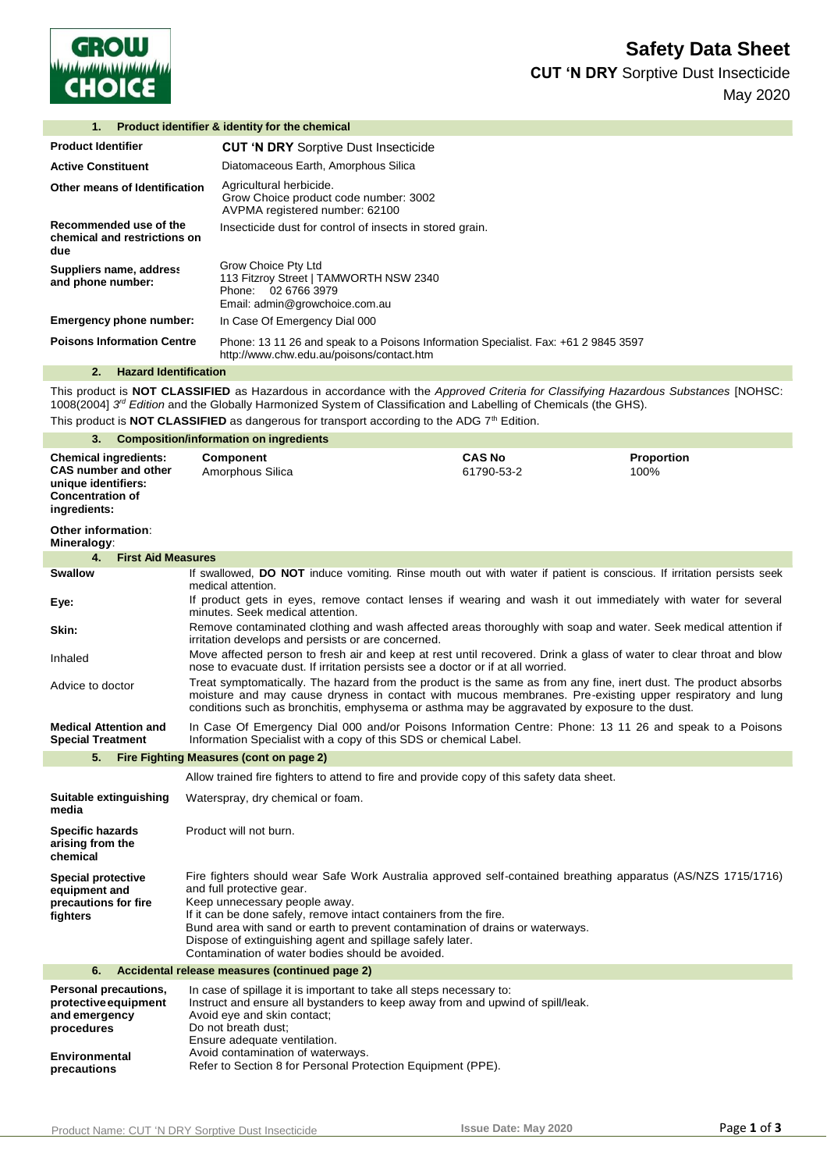

**CUT 'N DRY** Sorptive Dust Insecticide May 2020

| <b>Product identifier &amp; identity for the chemical</b><br>1. |                                                                                                                                  |  |
|-----------------------------------------------------------------|----------------------------------------------------------------------------------------------------------------------------------|--|
| <b>Product Identifier</b>                                       | <b>CUT 'N DRY Sorptive Dust Insecticide</b>                                                                                      |  |
| <b>Active Constituent</b>                                       | Diatomaceous Earth, Amorphous Silica                                                                                             |  |
| Other means of Identification                                   | Agricultural herbicide.<br>Grow Choice product code number: 3002<br>AVPMA registered number: 62100                               |  |
| Recommended use of the<br>chemical and restrictions on<br>due   | Insecticide dust for control of insects in stored grain.                                                                         |  |
| Suppliers name, address<br>and phone number:                    | Grow Choice Pty Ltd<br>113 Fitzroy Street   TAMWORTH NSW 2340<br>02 6766 3979<br>Phone:<br>Email: admin@growchoice.com.au        |  |
| <b>Emergency phone number:</b>                                  | In Case Of Emergency Dial 000                                                                                                    |  |
| <b>Poisons Information Centre</b>                               | Phone: 13 11 26 and speak to a Poisons Information Specialist. Fax: +61 2 9845 3597<br>http://www.chw.edu.au/poisons/contact.htm |  |
| <b>Hazard Identification</b><br>2.                              |                                                                                                                                  |  |

This product is **NOT CLASSIFIED** as Hazardous in accordance with the *Approved Criteria for Classifying Hazardous Substances* [NOHSC: 1008(2004] 3<sup>rd</sup> Edition and the Globally Harmonized System of Classification and Labelling of Chemicals (the GHS).

This product is **NOT CLASSIFIED** as dangerous for transport according to the ADG 7<sup>th</sup> Edition.

| 3.<br><b>Composition/information on ingredients</b>                                                                           |                                                                                                                                                                                                                                                                                                                                                                                                                                                   |                             |                    |  |
|-------------------------------------------------------------------------------------------------------------------------------|---------------------------------------------------------------------------------------------------------------------------------------------------------------------------------------------------------------------------------------------------------------------------------------------------------------------------------------------------------------------------------------------------------------------------------------------------|-----------------------------|--------------------|--|
| <b>Chemical ingredients:</b><br><b>CAS number and other</b><br>unique identifiers:<br><b>Concentration of</b><br>ingredients: | <b>Component</b><br>Amorphous Silica                                                                                                                                                                                                                                                                                                                                                                                                              | <b>CAS No</b><br>61790-53-2 | Proportion<br>100% |  |
| Other information:                                                                                                            |                                                                                                                                                                                                                                                                                                                                                                                                                                                   |                             |                    |  |
| Mineralogy:<br>4.<br><b>First Aid Measures</b>                                                                                |                                                                                                                                                                                                                                                                                                                                                                                                                                                   |                             |                    |  |
| Swallow                                                                                                                       | If swallowed, DO NOT induce vomiting. Rinse mouth out with water if patient is conscious. If irritation persists seek                                                                                                                                                                                                                                                                                                                             |                             |                    |  |
| Eye:                                                                                                                          | medical attention.<br>If product gets in eyes, remove contact lenses if wearing and wash it out immediately with water for several<br>minutes. Seek medical attention.                                                                                                                                                                                                                                                                            |                             |                    |  |
| Skin:                                                                                                                         | Remove contaminated clothing and wash affected areas thoroughly with soap and water. Seek medical attention if<br>irritation develops and persists or are concerned.                                                                                                                                                                                                                                                                              |                             |                    |  |
| Inhaled                                                                                                                       | Move affected person to fresh air and keep at rest until recovered. Drink a glass of water to clear throat and blow<br>nose to evacuate dust. If irritation persists see a doctor or if at all worried.                                                                                                                                                                                                                                           |                             |                    |  |
| Advice to doctor                                                                                                              | Treat symptomatically. The hazard from the product is the same as from any fine, inert dust. The product absorbs<br>moisture and may cause dryness in contact with mucous membranes. Pre-existing upper respiratory and lung<br>conditions such as bronchitis, emphysema or asthma may be aggravated by exposure to the dust.                                                                                                                     |                             |                    |  |
| <b>Medical Attention and</b><br><b>Special Treatment</b>                                                                      | In Case Of Emergency Dial 000 and/or Poisons Information Centre: Phone: 13 11 26 and speak to a Poisons<br>Information Specialist with a copy of this SDS or chemical Label.                                                                                                                                                                                                                                                                      |                             |                    |  |
| 5.                                                                                                                            | Fire Fighting Measures (cont on page 2)                                                                                                                                                                                                                                                                                                                                                                                                           |                             |                    |  |
|                                                                                                                               | Allow trained fire fighters to attend to fire and provide copy of this safety data sheet.                                                                                                                                                                                                                                                                                                                                                         |                             |                    |  |
| Suitable extinguishing<br>media                                                                                               | Waterspray, dry chemical or foam.                                                                                                                                                                                                                                                                                                                                                                                                                 |                             |                    |  |
| Specific hazards<br>arising from the<br>chemical                                                                              | Product will not burn.                                                                                                                                                                                                                                                                                                                                                                                                                            |                             |                    |  |
| <b>Special protective</b><br>equipment and<br>precautions for fire<br>fighters                                                | Fire fighters should wear Safe Work Australia approved self-contained breathing apparatus (AS/NZS 1715/1716)<br>and full protective gear.<br>Keep unnecessary people away.<br>If it can be done safely, remove intact containers from the fire.<br>Bund area with sand or earth to prevent contamination of drains or waterways.<br>Dispose of extinguishing agent and spillage safely later.<br>Contamination of water bodies should be avoided. |                             |                    |  |
| 6.                                                                                                                            | Accidental release measures (continued page 2)                                                                                                                                                                                                                                                                                                                                                                                                    |                             |                    |  |
| <b>Personal precautions,</b><br>protective equipment<br>and emergency<br>procedures                                           | In case of spillage it is important to take all steps necessary to:<br>Instruct and ensure all bystanders to keep away from and upwind of spill/leak.<br>Avoid eye and skin contact;<br>Do not breath dust;<br>Ensure adequate ventilation.                                                                                                                                                                                                       |                             |                    |  |
| <b>Environmental</b><br>precautions                                                                                           | Avoid contamination of waterways.<br>Refer to Section 8 for Personal Protection Equipment (PPE).                                                                                                                                                                                                                                                                                                                                                  |                             |                    |  |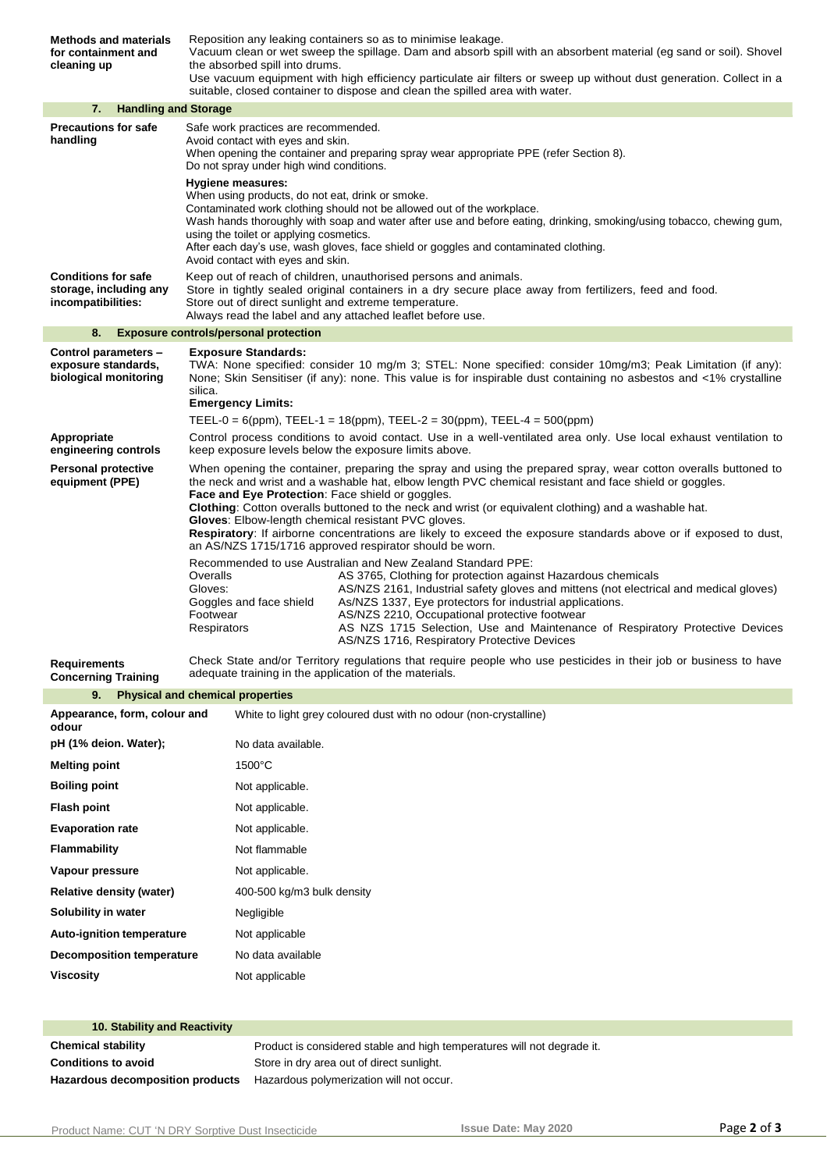| <b>Methods and materials</b><br>for containment and<br>cleaning up         | Reposition any leaking containers so as to minimise leakage.<br>Vacuum clean or wet sweep the spillage. Dam and absorb spill with an absorbent material (eg sand or soil). Shovel<br>the absorbed spill into drums.<br>Use vacuum equipment with high efficiency particulate air filters or sweep up without dust generation. Collect in a                                                                                                                                                                                                                                                                                                |  |  |
|----------------------------------------------------------------------------|-------------------------------------------------------------------------------------------------------------------------------------------------------------------------------------------------------------------------------------------------------------------------------------------------------------------------------------------------------------------------------------------------------------------------------------------------------------------------------------------------------------------------------------------------------------------------------------------------------------------------------------------|--|--|
|                                                                            | suitable, closed container to dispose and clean the spilled area with water.                                                                                                                                                                                                                                                                                                                                                                                                                                                                                                                                                              |  |  |
| 7.<br><b>Handling and Storage</b>                                          |                                                                                                                                                                                                                                                                                                                                                                                                                                                                                                                                                                                                                                           |  |  |
| <b>Precautions for safe</b><br>handling                                    | Safe work practices are recommended.<br>Avoid contact with eyes and skin.<br>When opening the container and preparing spray wear appropriate PPE (refer Section 8).<br>Do not spray under high wind conditions.                                                                                                                                                                                                                                                                                                                                                                                                                           |  |  |
|                                                                            | <b>Hygiene measures:</b><br>When using products, do not eat, drink or smoke.<br>Contaminated work clothing should not be allowed out of the workplace.<br>Wash hands thoroughly with soap and water after use and before eating, drinking, smoking/using tobacco, chewing gum,<br>using the toilet or applying cosmetics.<br>After each day's use, wash gloves, face shield or goggles and contaminated clothing.<br>Avoid contact with eyes and skin.                                                                                                                                                                                    |  |  |
| <b>Conditions for safe</b><br>storage, including any<br>incompatibilities: | Keep out of reach of children, unauthorised persons and animals.<br>Store in tightly sealed original containers in a dry secure place away from fertilizers, feed and food.<br>Store out of direct sunlight and extreme temperature.<br>Always read the label and any attached leaflet before use.                                                                                                                                                                                                                                                                                                                                        |  |  |
| 8.                                                                         | <b>Exposure controls/personal protection</b>                                                                                                                                                                                                                                                                                                                                                                                                                                                                                                                                                                                              |  |  |
| Control parameters -<br>exposure standards,<br>biological monitoring       | <b>Exposure Standards:</b><br>TWA: None specified: consider 10 mg/m 3; STEL: None specified: consider 10mg/m3; Peak Limitation (if any):<br>None; Skin Sensitiser (if any): none. This value is for inspirable dust containing no asbestos and <1% crystalline<br>silica.                                                                                                                                                                                                                                                                                                                                                                 |  |  |
|                                                                            | <b>Emergency Limits:</b>                                                                                                                                                                                                                                                                                                                                                                                                                                                                                                                                                                                                                  |  |  |
|                                                                            | TEEL-0 = 6(ppm), TEEL-1 = 18(ppm), TEEL-2 = 30(ppm), TEEL-4 = 500(ppm)                                                                                                                                                                                                                                                                                                                                                                                                                                                                                                                                                                    |  |  |
| Appropriate<br>engineering controls                                        | Control process conditions to avoid contact. Use in a well-ventilated area only. Use local exhaust ventilation to<br>keep exposure levels below the exposure limits above.                                                                                                                                                                                                                                                                                                                                                                                                                                                                |  |  |
| <b>Personal protective</b><br>equipment (PPE)                              | When opening the container, preparing the spray and using the prepared spray, wear cotton overalls buttoned to<br>the neck and wrist and a washable hat, elbow length PVC chemical resistant and face shield or goggles.<br><b>Face and Eye Protection:</b> Face shield or goggles.<br><b>Clothing:</b> Cotton overalls buttoned to the neck and wrist (or equivalent clothing) and a washable hat.<br>Gloves: Elbow-length chemical resistant PVC gloves.<br>Respiratory: If airborne concentrations are likely to exceed the exposure standards above or if exposed to dust,<br>an AS/NZS 1715/1716 approved respirator should be worn. |  |  |
|                                                                            | Recommended to use Australian and New Zealand Standard PPE:<br>Overalls<br>AS 3765, Clothing for protection against Hazardous chemicals<br>Gloves:<br>AS/NZS 2161, Industrial safety gloves and mittens (not electrical and medical gloves)<br>As/NZS 1337, Eye protectors for industrial applications.<br>Goggles and face shield<br>Footwear<br>AS/NZS 2210, Occupational protective footwear<br>Respirators<br>AS NZS 1715 Selection, Use and Maintenance of Respiratory Protective Devices<br>AS/NZS 1716, Respiratory Protective Devices                                                                                             |  |  |
| <b>Requirements</b>                                                        | Check State and/or Territory regulations that require people who use pesticides in their job or business to have                                                                                                                                                                                                                                                                                                                                                                                                                                                                                                                          |  |  |
| <b>Concerning Training</b>                                                 | adequate training in the application of the materials.                                                                                                                                                                                                                                                                                                                                                                                                                                                                                                                                                                                    |  |  |
| 9.                                                                         | <b>Physical and chemical properties</b>                                                                                                                                                                                                                                                                                                                                                                                                                                                                                                                                                                                                   |  |  |
| Appearance, form, colour and<br>odour                                      | White to light grey coloured dust with no odour (non-crystalline)                                                                                                                                                                                                                                                                                                                                                                                                                                                                                                                                                                         |  |  |
| pH (1% deion. Water);                                                      | No data available.                                                                                                                                                                                                                                                                                                                                                                                                                                                                                                                                                                                                                        |  |  |
| <b>Melting point</b>                                                       | 1500°C                                                                                                                                                                                                                                                                                                                                                                                                                                                                                                                                                                                                                                    |  |  |
| <b>Boiling point</b>                                                       | Not applicable.                                                                                                                                                                                                                                                                                                                                                                                                                                                                                                                                                                                                                           |  |  |
| <b>Flash point</b>                                                         | Not applicable.                                                                                                                                                                                                                                                                                                                                                                                                                                                                                                                                                                                                                           |  |  |
| <b>Evaporation rate</b>                                                    | Not applicable.                                                                                                                                                                                                                                                                                                                                                                                                                                                                                                                                                                                                                           |  |  |
| <b>Flammability</b>                                                        | Not flammable                                                                                                                                                                                                                                                                                                                                                                                                                                                                                                                                                                                                                             |  |  |
| Vapour pressure                                                            | Not applicable.                                                                                                                                                                                                                                                                                                                                                                                                                                                                                                                                                                                                                           |  |  |
| <b>Relative density (water)</b>                                            | 400-500 kg/m3 bulk density                                                                                                                                                                                                                                                                                                                                                                                                                                                                                                                                                                                                                |  |  |

| Solubility in water              | Negligible        |
|----------------------------------|-------------------|
| Auto-ignition temperature        | Not applicable    |
| <b>Decomposition temperature</b> | No data available |
| Viscositv                        | Not applicable    |
|                                  |                   |

## **10. Stability and Reactivity Chemical stability Product is considered stable and high temperatures will not degrade it. Conditions to avoid** Store in dry area out of direct sunlight. **Hazardous decomposition products** Hazardous polymerization will not occur.